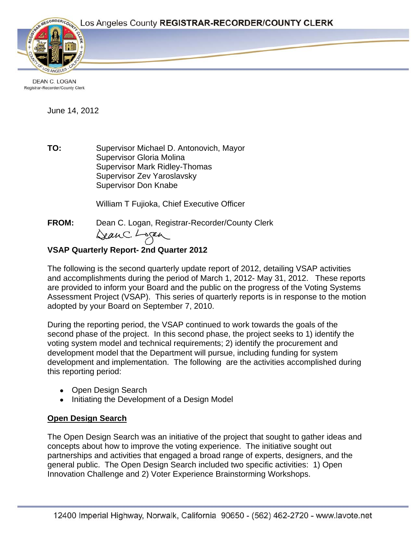Page 1



**DEAN C. LOGAN** Registrar-Recorder/County Clerk

June 14, 2012

**TO:** Supervisor Michael D. Antonovich, Mayor Supervisor Gloria Molina Supervisor Mark Ridley-Thomas Supervisor Zev Yaroslavsky Supervisor Don Knabe

William T Fujioka, Chief Executive Officer

**FROM:** Dean C. Logan, Registrar-Recorder/County Clerk<br>Can C. Lagan

## **VSAP Quarterly Report- 2nd Quarter 2012**

The following is the second quarterly update report of 2012, detailing VSAP activities and accomplishments during the period of March 1, 2012- May 31, 2012. These reports are provided to inform your Board and the public on the progress of the Voting Systems Assessment Project (VSAP). This series of quarterly reports is in response to the motion adopted by your Board on September 7, 2010.

During the reporting period, the VSAP continued to work towards the goals of the second phase of the project. In this second phase, the project seeks to 1) identify the voting system model and technical requirements; 2) identify the procurement and development model that the Department will pursue, including funding for system development and implementation. The following are the activities accomplished during this reporting period:

- **Open Design Search**
- Initiating the Development of a Design Model

# **Open Design Search**

The Open Design Search was an initiative of the project that sought to gather ideas and concepts about how to improve the voting experience. The initiative sought out partnerships and activities that engaged a broad range of experts, designers, and the general public. The Open Design Search included two specific activities: 1) Open Innovation Challenge and 2) Voter Experience Brainstorming Workshops.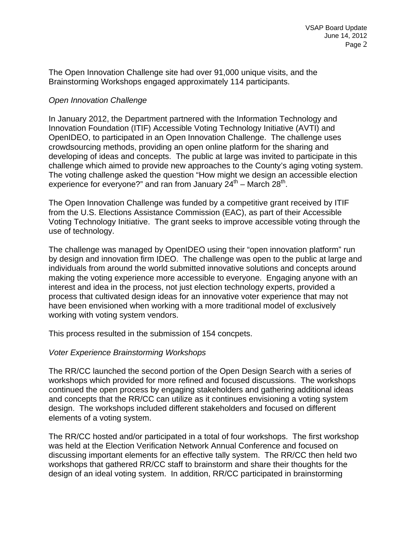The Open Innovation Challenge site had over 91,000 unique visits, and the Brainstorming Workshops engaged approximately 114 participants.

#### *Open Innovation Challenge*

In January 2012, the Department partnered with the Information Technology and Innovation Foundation (ITIF) Accessible Voting Technology Initiative (AVTI) and OpenIDEO, to participated in an Open Innovation Challenge. The challenge uses crowdsourcing methods, providing an open online platform for the sharing and developing of ideas and concepts. The public at large was invited to participate in this challenge which aimed to provide new approaches to the County's aging voting system. The voting challenge asked the question "How might we design an accessible election experience for everyone?" and ran from January  $24<sup>th</sup>$  – March 28<sup>th</sup>.

The Open Innovation Challenge was funded by a competitive grant received by ITIF from the U.S. Elections Assistance Commission (EAC), as part of their Accessible Voting Technology Initiative. The grant seeks to improve accessible voting through the use of technology.

The challenge was managed by OpenIDEO using their "open innovation platform" run by design and innovation firm IDEO. The challenge was open to the public at large and individuals from around the world submitted innovative solutions and concepts around making the voting experience more accessible to everyone. Engaging anyone with an interest and idea in the process, not just election technology experts, provided a process that cultivated design ideas for an innovative voter experience that may not have been envisioned when working with a more traditional model of exclusively working with voting system vendors.

This process resulted in the submission of 154 concpets.

#### *Voter Experience Brainstorming Workshops*

The RR/CC launched the second portion of the Open Design Search with a series of workshops which provided for more refined and focused discussions. The workshops continued the open process by engaging stakeholders and gathering additional ideas and concepts that the RR/CC can utilize as it continues envisioning a voting system design. The workshops included different stakeholders and focused on different elements of a voting system.

The RR/CC hosted and/or participated in a total of four workshops. The first workshop was held at the Election Verification Network Annual Conference and focused on discussing important elements for an effective tally system. The RR/CC then held two workshops that gathered RR/CC staff to brainstorm and share their thoughts for the design of an ideal voting system. In addition, RR/CC participated in brainstorming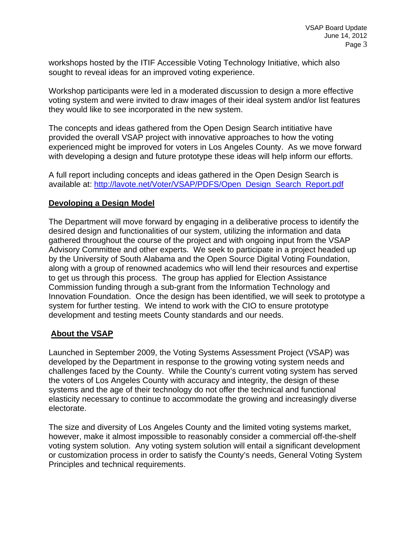workshops hosted by the ITIF Accessible Voting Technology Initiative, which also sought to reveal ideas for an improved voting experience.

Workshop participants were led in a moderated discussion to design a more effective voting system and were invited to draw images of their ideal system and/or list features they would like to see incorporated in the new system.

The concepts and ideas gathered from the Open Design Search intitiative have provided the overall VSAP project with innovative approaches to how the voting experienced might be improved for voters in Los Angeles County. As we move forward with developing a design and future prototype these ideas will help inform our efforts.

A full report including concepts and ideas gathered in the Open Design Search is available at: [http://lavote.net/Voter/VSAP/PDFS/Open\\_Design\\_Search\\_Report.pdf](http://lavote.net/Voter/VSAP/PDFS/Open_Design_Search_Report.pdf)

### **Devoloping a Design Model**

The Department will move forward by engaging in a deliberative process to identify the desired design and functionalities of our system, utilizing the information and data gathered throughout the course of the project and with ongoing input from the VSAP Advisory Committee and other experts. We seek to participate in a project headed up by the University of South Alabama and the Open Source Digital Voting Foundation, along with a group of renowned academics who will lend their resources and expertise to get us through this process. The group has applied for Election Assistance Commission funding through a sub-grant from the Information Technology and Innovation Foundation. Once the design has been identified, we will seek to prototype a system for further testing. We intend to work with the CIO to ensure prototype development and testing meets County standards and our needs.

### **About the VSAP**

Launched in September 2009, the Voting Systems Assessment Project (VSAP) was developed by the Department in response to the growing voting system needs and challenges faced by the County. While the County's current voting system has served the voters of Los Angeles County with accuracy and integrity, the design of these systems and the age of their technology do not offer the technical and functional elasticity necessary to continue to accommodate the growing and increasingly diverse electorate.

The size and diversity of Los Angeles County and the limited voting systems market, however, make it almost impossible to reasonably consider a commercial off-the-shelf voting system solution. Any voting system solution will entail a significant development or customization process in order to satisfy the County's needs, General Voting System Principles and technical requirements.